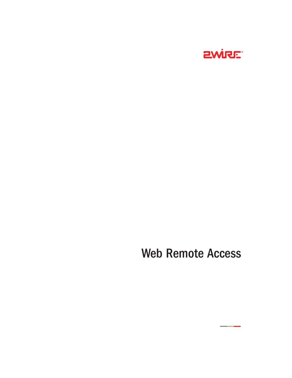

# Web Remote Access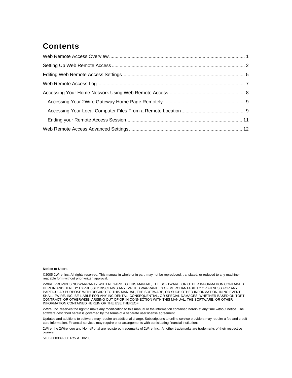# **Contents**

#### **Notice to Users**

©2005 2Wire, Inc. All rights reserved. This manual in whole or in part, may not be reproduced, translated, or reduced to any machinereadable form without prior written approval.

2WIRE PROVIDES NO WARRANTY WITH REGARD TO THIS MANUAL, THE SOFTWARE, OR OTHER INFORMATION CONTAINED HEREIN AND HEREBY EXPRESSLY DISCLAIMS ANY IMPLIED WARRANTIES OF MERCHANTABILITY OR FITNESS FOR ANY PARTICULAR PURPOSE WITH REGARD TO THIS MANUAL, THE SOFTWARE, OR SUCH OTHER INFORMATION, IN NO EVENT SHALL 2WIRE, INC. BE LIABLE FOR ANY INCIDENTAL, CONSEQUENTIAL, OR SPECIAL DAMAGES, WHETHER BASED ON TORT, CONTRACT, OR OTHERWISE, ARISING OUT OF OR IN CONNECTION WITH THIS MANUAL, THE SOFTWARE, OR OTHER INFORMATION CONTAINED HEREIN OR THE USE THEREOF.

2Wire, Inc. reserves the right to make any modification to this manual or the information contained herein at any time without notice. The software described herein is governed by the terms of a separate user license agreement.

Updates and additions to software may require an additional charge. Subscriptions to online service providers may require a fee and credit card information. Financial services may require prior arrangements with participating financial institutions.

2Wire, the 2Wire logo and HomePortal are registered trademarks of 2Wire, Inc. All other trademarks are trademarks of their respective owners.

5100-000339-000 Rev A 06/05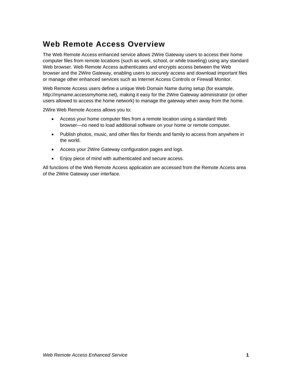# <span id="page-2-0"></span>**Web Remote Access Overview**

The Web Remote Access enhanced service allows 2Wire Gateway users to access their home computer files from remote locations (such as work, school, or while traveling) using any standard Web browser. Web Remote Access authenticates and encrypts access between the Web browser and the 2Wire Gateway, enabling users to *securely* access and download important files or manage other enhanced services such as Internet Access Controls or Firewall Monitor.

Web Remote Access users define a unique Web Domain Name during setup (for example, http://*myname*.accessmyhome.net), making it easy for the 2Wire Gateway administrator (or other users allowed to access the home network) to manage the gateway when away from the home.

2Wire Web Remote Access allows you to:

- Access your home computer files from a remote location using a standard Web browser—no need to load additional software on your home or remote computer.
- Publish photos, music, and other files for friends and family to access from anywhere in the world.
- Access your 2Wire Gateway configuration pages and logs.
- Enjoy piece of mind with authenticated and secure access.

All functions of the Web Remote Access application are accessed from the Remote Access area of the 2Wire Gateway user interface.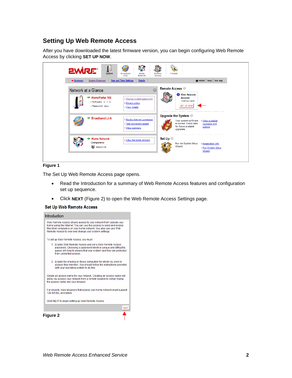### <span id="page-3-0"></span>**Setting Up Web Remote Access**

After you have downloaded the latest firmware version, you can begin configuring Web Remote Access by clicking **SET UP NOW**.

| Z<br><b>EWIRE®</b><br>System<br><b>System Password</b><br>$-Summary$ | لونيا<br>Broadband<br>Remote<br>Home<br>Network<br>Link<br>Access<br><b>Details</b><br><b>Date and Time Settings</b> | Firewall<br>HOME   Help   Site Map                                                                                                                         |
|----------------------------------------------------------------------|----------------------------------------------------------------------------------------------------------------------|------------------------------------------------------------------------------------------------------------------------------------------------------------|
| Network at a Glance                                                  |                                                                                                                      | Remote Access <sup>@</sup><br><b>O</b> Web Remote                                                                                                          |
| HomePortal 165<br>$\cdot$ Software: $3.7.5$<br>· Password: Set       | • Change system password<br>• Privacy policy<br>• View details                                                       | <b>Access</b><br>Installed!<br>SET UP NOW                                                                                                                  |
| <b>Broadband Link</b>                                                | • Monitor Internet connection<br>· Test connection speed<br>• View summary                                           | Upgrade the System @<br>Your system software<br>• View available<br>is current. Check back<br>upgrades and<br>for future available<br>options<br>upgrades. |
| <b>Home Network</b><br><b>Computers:</b><br>RMARVIN                  | Set Up <sup>1</sup><br>• View the home network                                                                       | Run the System Setup<br>• Registration info<br>Wizard.<br>• Run System Setup<br>Wizard                                                                     |

#### **Figure 1**

The Set Up Web Remote Access page opens.

- Read the Introduction for a summary of Web Remote Access features and configuration set up sequence.
- Click **NEXT** (Figure 2) to open the Web Remote Access Settings page.

#### Set Up Web Remote Access

| Introduction                                                                                                                                                                                                                                                           |
|------------------------------------------------------------------------------------------------------------------------------------------------------------------------------------------------------------------------------------------------------------------------|
| Web Remote Access allows access to your network from outside your<br>home using the Internet. You can use this access to send and receive<br>files from computers on your home network. You also can use Web<br>Remote Access to view and change your system settings. |
| To set up Web Remote Access, you must:                                                                                                                                                                                                                                 |
| 1. Enable Web Remote Access and set a Web Remote Access<br>password. Choosing a password which is unique and difficult to<br>quess will help to ensure that your system and files are protected<br>from unwanted access.                                               |
| 2. Enable file sharing on those computers for which you wish to<br>access files remotely. You should follow the instructions provided<br>with your operating system to do this.                                                                                        |
| Create an access name for your network. Creating an access name will<br>allow you access your network from a remote location by simply typing<br>the access name into your browser.                                                                                    |
| For security, Web browsers that access your home network must support<br>128-bit SSL encryption.                                                                                                                                                                       |
| Click NEXT to begin setting up Web Remote Access.                                                                                                                                                                                                                      |
| NEX                                                                                                                                                                                                                                                                    |
| Figure 2                                                                                                                                                                                                                                                               |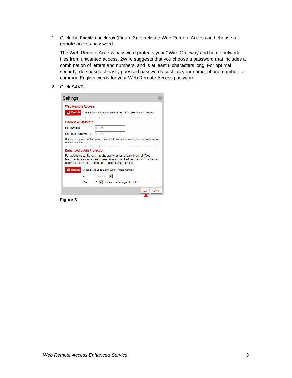1. Click the **Enable** checkbox (Figure 3) to activate Web Remote Access and choose a remote access password.

The Web Remote Access password protects your 2Wire Gateway and home network files from unwanted access. 2Wire suggests that you choose a password that includes a combination of letters and numbers, and is at least 8 characters long. For optimal security, do *not* select easily guessed passwords such as your name, phone number, or common English words for your Web Remote Access password.

2. Click **SAVE**.

| <b>Web Remote Access</b>         |                                                                                                                                                                                                        |
|----------------------------------|--------------------------------------------------------------------------------------------------------------------------------------------------------------------------------------------------------|
|                                  | <b>V</b> Enable Check ENABLE to allow secure remote access to your network.                                                                                                                            |
| Choose a Password                |                                                                                                                                                                                                        |
| Password:                        | .                                                                                                                                                                                                      |
| <b>Confirm Password:</b>         | *****                                                                                                                                                                                                  |
| remote location                  | Choose a password that remote users will use to connect to your network from a                                                                                                                         |
|                                  |                                                                                                                                                                                                        |
| <b>Enhanced Login Protection</b> |                                                                                                                                                                                                        |
|                                  | For added security, you may choose to automatically block all Web<br>Remote Access for a period time after a specified number of failed login<br>attempts. To enable this feature, click ENABLE below. |
|                                  | <b>V</b> Enable Check ENABLE to block Web Remote Access                                                                                                                                                |
| for:                             | 1 hour                                                                                                                                                                                                 |
| after:                           | 10<br>unsuccessful login attempts                                                                                                                                                                      |
|                                  | SAVE I<br>CANCEL                                                                                                                                                                                       |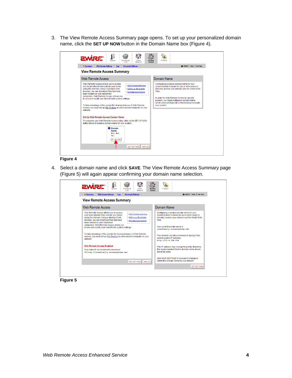3. The View Remote Access Summary page opens. To set up your personalized domain name, click the **SET UP NOW** button in the Domain Name box (Figure 4).

| <b>EWIRE</b>                                                                                                                                                                                                                                                                                                                                                                                                                                                                                                                                                |                                                                                                                                                                                                                                                                                                                           |
|-------------------------------------------------------------------------------------------------------------------------------------------------------------------------------------------------------------------------------------------------------------------------------------------------------------------------------------------------------------------------------------------------------------------------------------------------------------------------------------------------------------------------------------------------------------|---------------------------------------------------------------------------------------------------------------------------------------------------------------------------------------------------------------------------------------------------------------------------------------------------------------------------|
| System<br>Broadband<br>Home<br>Remote<br>Network<br>Link<br>Access<br><b>Web Access Settings</b><br><b>Advanced Settings</b><br>$-Summary$<br>Log                                                                                                                                                                                                                                                                                                                                                                                                           | Firewall<br>HOME   Help   Site Map                                                                                                                                                                                                                                                                                        |
| <b>View Remote Access Summary</b>                                                                                                                                                                                                                                                                                                                                                                                                                                                                                                                           |                                                                                                                                                                                                                                                                                                                           |
| Web Remote Access                                                                                                                                                                                                                                                                                                                                                                                                                                                                                                                                           | Domain Name                                                                                                                                                                                                                                                                                                               |
| Web Remote Access allows you to access<br>. Web Access overview<br>vour local network from outside your home<br>using the Internet. Using a standard Web<br>· Setting up file sharing<br>browser, you can download files that have<br>• Minimum requirements<br>been shared on your networked<br>computers. Web Remote Access allows you<br>to view and modify your HomePortal system settings.<br>To take advantage of the remote file sharing features of Web Remote<br>Access, you must set up File Sharing on each desired computer on your<br>network. | Configuring a unique domain name for your<br>system makes it easier for you or other users to<br>remotely access your network over the World Wide<br>Web<br>In order for Web Remote Access to operate<br>properly, you must configure a domain name<br>which users will type into a Web browser to locate<br>vour system. |
| Set Up Web Remote Access Domain Name                                                                                                                                                                                                                                                                                                                                                                                                                                                                                                                        |                                                                                                                                                                                                                                                                                                                           |
| To complete your Web Remote Access setup, click on the SET UP NOW<br>button below to create a domain name for your system.<br><b>O</b> Domain<br><b>Name</b><br>Not Set<br>Up!<br>SET UP NOW<br>EDIT SETTINGS   VIEW LOG                                                                                                                                                                                                                                                                                                                                    |                                                                                                                                                                                                                                                                                                                           |
|                                                                                                                                                                                                                                                                                                                                                                                                                                                                                                                                                             |                                                                                                                                                                                                                                                                                                                           |
| <b>Figure 4</b>                                                                                                                                                                                                                                                                                                                                                                                                                                                                                                                                             |                                                                                                                                                                                                                                                                                                                           |

4. Select a domain name and click **SAVE**. The View Remote Access Summary page (Figure 5) will again appear confirming your domain name selection.

#### Firewall Remote<br>Remote 号  $\mathbf{I}$ D **EWIRE** Broadband<br>Link Home<br>Network HOME | Help | Site Map  $\begin{array}{|c|c|c|c|c|c|} \hline \begin{array}{|c|c|c|c|c|}\hline \multicolumn{1}{|c|}{\multicolumn{1}{c|}{\multicolumn{1}{c|}{\multicolumn{1}{c|}{\multicolumn{1}{c}}}}& \multicolumn{1}{c|}{\multicolumn{1}{c|}{\multicolumn{1}{c|}{\multicolumn{1}{c|}{\multicolumn{1}{c}}}}& \multicolumn{1}{c|}{\multicolumn{1}{c|}{\multicolumn{1}{c|}{\multicolumn{1}{c|}{\multicolumn{1}{c|}{\multicolumn{1}{c|}{\multicolumn{1}{c|}{\multicolumn{1$ Advan ed Settings **View Remote Access Summary** Web Remote Access Domain Name Web Remote Access allows you to access<br>your local network from outside your home<br>using the litternet. Using a standard Web<br>browser, you can download files that have<br>been shared on your networked<br>computers. Web Remote Acce Configuring a unique domain name for your<br>system makes it easier for you or other users to<br>remotely access your network over the World Wide<br>Web. . Web Access overview · Setting up file sharing . Minimum requirements Your current domain name is<br>jonesfamily.accessmyhome.net To take advantage of the remote file sharing features of Web Remote<br>Access, you must set up <u>File Sharing</u> on each desired computer on your<br>network. Your network can also accessed by typing in the<br>current system IP address:<br>http://10.4.254.204 Web Remote Access Enabled This IP address may change frequently; therefore,<br>it is recommended that the domain name shown<br>above be used. Your network can be remotely accessed<br>Via http://jonesfamily.accessed<br>via http://jonesfamily.accessmyhome.net Click EDIT SETTINGS if you wish to change or<br>delete the domain name for your network. EDIT SETTINGS | VIEW LOG EDIT SETTINGS

**Figure 5**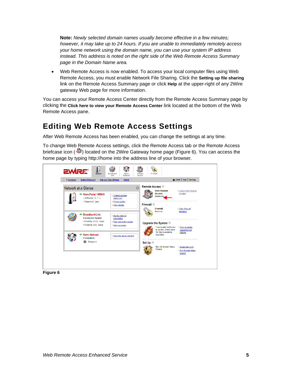<span id="page-6-0"></span>**Note:** *Newly selected domain names usually become effective in a few minutes; however, it may take up to 24 hours. If you are unable to immediately remotely access your home network using the domain name, you can use your system IP address instead. This address is noted on the right side of the Web Remote Access Summary page in the Domain Name area.* 

• Web Remote Access is now enabled. To access your local computer files using Web Remote Access, you must enable Network File Sharing. Click the **Setting up file sharing** link on the Remote Access Summary page or click **Help** at the upper-right of any 2Wire gateway Web page for more information.

You can access your Remote Access Center directly from the Remote Access Summary page by clicking the **Click here to view your Remote Access Center** link located at the bottom of the Web Remote Access pane.

# **Editing Web Remote Access Settings**

After Web Remote Access has been enabled, you can change the settings at any time.

To change Web Remote Access settings, click the Remote Access tab or the Remote Access briefcase icon  $(\sqrt[4]{\bullet})$  located on the 2Wire Gateway home page (Figure 6). You can access the home page by typing http://home into the address line of your browser.



**Figure 6**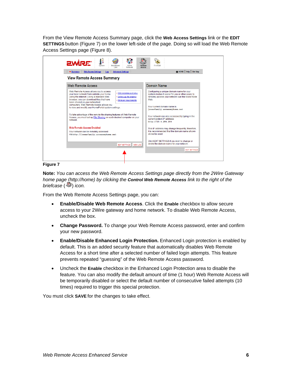From the View Remote Access Summary page, click the **Web Access Settings** link or the **EDIT SETTINGS** button (Figure 7) on the lower left-side of the page. Doing so will load the Web Remote Access Settings page (Figure 8).



**Figure 7** 

**Note:** *You can access the Web Remote Access Settings page directly from the 2Wire Gateway home page (http://home) by clicking the Control Web Remote Access link to the right of the briefcase* ( $\bullet\bullet$ ) *icon.* 

From the Web Remote Access Settings page, you can:

- **Enable/Disable Web Remote Access**. Click the **Enable** checkbox to allow secure access to your 2Wire gateway and home network. To disable Web Remote Access, uncheck the box.
- **Change Password.** To change your Web Remote Access password, enter and confirm your new password.
- **Enable/Disable Enhanced Login Protection.** Enhanced Login protection is enabled by default. This is an added security feature that automatically disables Web Remote Access for a short time after a selected number of failed login attempts. This feature prevents repeated "guessing" of the Web Remote Access password.
- Uncheck the **Enable** checkbox in the Enhanced Login Protection area to disable the feature. You can also modify the default amount of time (1 hour) Web Remote Access will be temporarily disabled or select the default number of consecutive failed attempts (10 times) required to trigger this special protection.

You must click **SAVE** for the changes to take effect.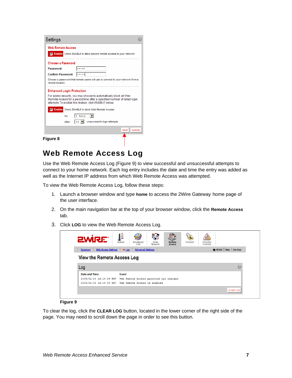<span id="page-8-0"></span>

| Settings                         |                                                                                                                                                                                                        |
|----------------------------------|--------------------------------------------------------------------------------------------------------------------------------------------------------------------------------------------------------|
| <b>Web Remote Access</b>         |                                                                                                                                                                                                        |
|                                  | <b>V</b> Enable Check ENABLE to allow secure remote access to your network.                                                                                                                            |
| Choose a Password                |                                                                                                                                                                                                        |
| Password:                        | بديديديد                                                                                                                                                                                               |
| <b>Confirm Password:</b>         | ستتمت                                                                                                                                                                                                  |
| remote location.                 | Choose a password that remote users will use to connect to your network from a                                                                                                                         |
| <b>Enhanced Login Protection</b> |                                                                                                                                                                                                        |
|                                  | For added security, you may choose to automatically block all Web<br>Remote Access for a period time after a specified number of failed login<br>attempts. To enable this feature, click ENABLE below. |
| ⊡                                | <b>Enable</b> Check ENABLE to block Web Remote Access                                                                                                                                                  |
| for:                             | 1 hour                                                                                                                                                                                                 |
| after:                           | unsuccessful login attempts<br>10                                                                                                                                                                      |
|                                  | SAVE I<br>CANCEL                                                                                                                                                                                       |
| Fiqure 8                         |                                                                                                                                                                                                        |

### **Web Remote Access Log**

Use the Web Remote Access Log (Figure 9) to view successful and unsuccessful attempts to connect to your home network. Each log entry includes the date and time the entry was added as well as the Internet IP address from which Web Remote Access was attempted.

To view the Web Remote Access Log, follow these steps:

- 1. Launch a browser window and type **home** to access the 2Wire Gateway home page of the user interface.
- 2. On the main navigation bar at the top of your browser window, click the **Remote Access** tab.
- 3. Click **LOG** to view the Web Remote Access Log.

| <b>EWIRE®</b>                         | - 3<br>System<br>Broadband<br>Home<br>Network<br>Link          | Remote<br>Access | Firewall | Parental<br>Controls |                        |   |
|---------------------------------------|----------------------------------------------------------------|------------------|----------|----------------------|------------------------|---|
| <b>Web Access Settings</b><br>Summary | <b>Advanced Settings</b><br>$-\log$                            |                  |          |                      | HOME   Help   Site Map |   |
| <b>View the Remote Access Log</b>     |                                                                |                  |          |                      |                        |   |
| Log                                   |                                                                |                  |          |                      |                        | 7 |
| Date and Time                         | Event                                                          |                  |          |                      |                        |   |
|                                       | 2005/01/24 13:19:39 PST Web Remote Access password has changed |                  |          |                      |                        |   |
| 2005/01/24 13:19:39 PST               | Web Remote Access is enabled                                   |                  |          |                      |                        |   |
|                                       |                                                                |                  |          |                      |                        |   |

#### **Figure 9**

To clear the log, click the **CLEAR LOG** button, located in the lower corner of the right side of the page. You may need to scroll down the page in order to see this button.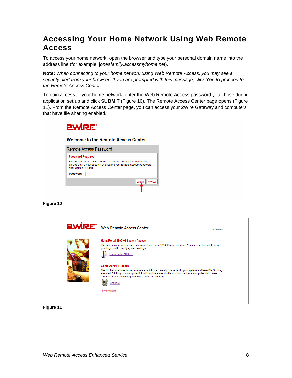# <span id="page-9-0"></span>**Accessing Your Home Network Using Web Remote Access**

To access your home network, open the browser and type your personal domain name into the address line (for example, j*onesfamily.accessmyhome.net*).

**Note:** *When connecting to your home network using Web Remote Access, you may see a security alert from your browser. If you are prompted with this message, click* **Yes** *to proceed to the Remote Access Center.* 

To gain access to your home network, enter the Web Remote Access password you chose during application set up and click **SUBMIT** (Figure 10). The Remote Access Center page opens (Figure 11). From the Remote Access Center page, you can access your 2Wire Gateway and computers that have file sharing enabled.



#### **Welcome to the Remote Access Center**

|                          | Remote Access Password                                                                                                                |
|--------------------------|---------------------------------------------------------------------------------------------------------------------------------------|
| <b>Password Required</b> |                                                                                                                                       |
| and clicking SUBMIT.     | For secure access to the shared resources on your home network,<br>please start a new session by entering your remote access password |
| Password:                |                                                                                                                                       |
|                          | <b>SUBM</b>                                                                                                                           |
|                          |                                                                                                                                       |

#### **Figure 10**



**Figure 11**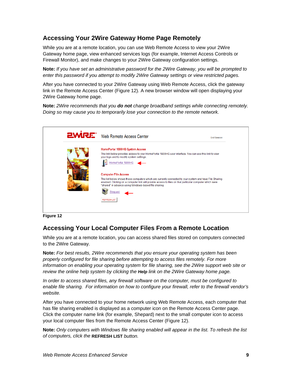### <span id="page-10-0"></span>**Accessing Your 2Wire Gateway Home Page Remotely**

While you are at a remote location, you can use Web Remote Access to view your 2Wire Gateway home page, view enhanced services logs (for example, Internet Access Controls or Firewall Monitor), and make changes to your 2Wire Gateway configuration settings.

**Note:** *If you have set an administrative password for the 2Wire Gateway, you will be prompted to enter this password if you attempt to modify 2Wire Gateway settings or view restricted pages.*

After you have connected to your 2Wire Gateway using Web Remote Access, click the gateway link in the Remote Access Center (Figure 12). A new browser window will open displaying your 2Wire Gateway home page.

**Note:** *2Wire recommends that you do not change broadband settings while connecting remotely. Doing so may cause you to temporarily lose your connection to the remote network.* 



**Figure 12** 

### **Accessing Your Local Computer Files From a Remote Location**

While you are at a remote location, you can access shared files stored on computers connected to the 2Wire Gateway.

**Note:** *For best results, 2Wire recommends that you ensure your operating system has been properly configured for file sharing before attempting to access files remotely. For more information on enabling your operating system for file sharing, see the 2Wire support web site or review the online help system by clicking the Help link on the 2Wire Gateway home page.* 

*In order to access shared files, any firewall software on the computer, must be configured to enable file sharing. For information on how to configure your firewall, refer to the firewall vendor's website.* 

After you have connected to your home network using Web Remote Access, each computer that has file sharing enabled is displayed as a computer icon on the Remote Access Center page. Click the computer name link (for example, Shepard) next to the small computer icon to access your local computer files from the Remote Access Center (Figure 12).

**Note:** *Only computers with Windows file sharing enabled will appear in the list. To refresh the list of computers, click the* **REFRESH LIST** *button.*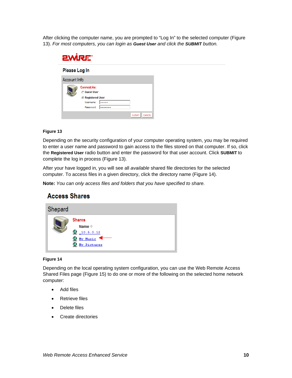After clicking the computer name, you are prompted to "Log In" to the selected computer (Figure 13). *For most computers, you can login as Guest User and click the SUBMIT button.* 

| <b>EWIRE</b>  |                                                                     |                  |               |
|---------------|---------------------------------------------------------------------|------------------|---------------|
| Please Log In |                                                                     |                  |               |
| Account Info  | <b>Connect As:</b><br><b>Guest User</b><br><b>C</b> Registered User |                  |               |
|               | Username:<br>Password:                                              | *****<br>******* | SUBMIT CANCEL |

#### **Figure 13**

Depending on the security configuration of your computer operating system, you may be required to enter a user name and password to gain access to the files stored on that computer. If so, click the **Registered User** radio button and enter the password for that user account. Click **SUBMIT** to complete the log in process (Figure 13).

After your have logged in, you will see all *available* shared file directories for the selected computer. To access files in a given directory, click the directory name (Figure 14).

**Note:** *You can only access files and folders that you have specified to share.*

| Shepard |                                                                            |
|---------|----------------------------------------------------------------------------|
|         | <b>Shares</b><br>Name <sup>1</sup><br>10.5.0.12<br>My Music<br>My Pictures |

#### **Figure 14**

Depending on the local operating system configuration, you can use the Web Remote Access Shared Files page (Figure 15) to do one or more of the following on the selected home network computer:

- Add files
- Retrieve files

**Access Shares** 

- Delete files
- Create directories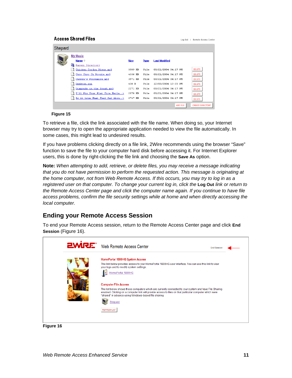#### <span id="page-12-0"></span>**Access Shared Files**

| Shepard |                                |             |             |                      |                         |
|---------|--------------------------------|-------------|-------------|----------------------|-------------------------|
|         | My Music                       |             |             |                      |                         |
|         | Name <sup>+</sup>              | <b>Size</b> | <b>Type</b> | <b>Last Modified</b> |                         |
|         | Parent Directory               |             |             |                      |                         |
|         | Chicken Cordon Bleus.mp3       | 3589 KB     | File        | 03/21/2004 04:17 PM  | <b>DELETE</b>           |
|         | Choo Choo Ch Boogie.mp3        | 4336 KB     | File        | 03/21/2004 04:17 PM  | <b>DELETE</b>           |
|         | Chopin's Polonaise.mp3         | 3971 KB     | File        | 03/21/2004 04:17 PM  | <b>DELETE</b>           |
|         | Desktop.ini                    | 438 B       | File        | 12/03/2004 12:20 PM  | <b>DELETE</b>           |
|         | Diamonds in the Rough.mp3      | 2271 KB     | File        | 03/21/2004 04:17 PM  | DELETE                  |
|         | I'll Fix Your Flat Tire Merle> | 2578 KB     | File        | 03/21/2004 04:17 PM  | <b>DELETE</b>           |
|         | Is it true What They Say Abou> | 2747 KB     | File        | 03/21/2004 04:17 PM  | <b>DELETE</b>           |
|         |                                |             |             | <b>ADD FILE</b>      | <b>CREATE DIRECTORY</b> |

Log Out | Remote Access Center

#### **Figure 15**

To retrieve a file, click the link associated with the file name. When doing so, your Internet browser may try to open the appropriate application needed to view the file automatically. In some cases, this might lead to undesired results.

If you have problems clicking directly on a file link, 2Wire recommends using the browser "Save" function to save the file to your computer hard disk before accessing it. For Internet Explorer users, this is done by right-clicking the file link and choosing the **Save As** option.

**Note:** *When attempting to add, retrieve, or delete files, you may receive a message indicating that you do not have permission to perform the requested action. This message is originating at the home computer, not from Web Remote Access. If this occurs, you may try to log in as a registered user on that computer. To change your current log in, click the* **Log Out** *link or return to the Remote Access Center page and click the computer name again. If you continue to have file access problems, confirm the file security settings while at home and when directly accessing the local computer.* 

### **Ending your Remote Access Session**

To end your Remote Access session, return to the Remote Access Center page and click **End Session** (Figure 16).